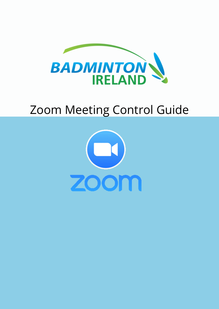

#### Zoom Meeting Control Guide

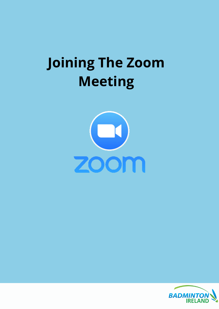#### **Joining The Zoom Meeting**



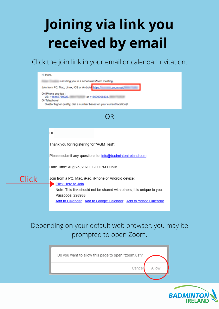## **Joining via link you received by email**

Click the join link in your email or calendar invitation.



#### Depending on your default web browser, you may be prompted to open Zoom.



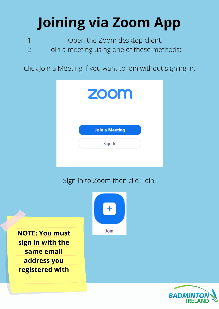# **Joining via Zoom App**

Open the Zoom desktop client. 1.

Join a meeting using one of these methods: 2.

Click Join a Meeting if you want to join without signing in.



Sign in to Zoom then click Join.





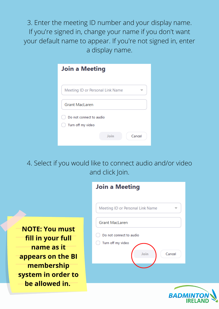3. Enter the meeting ID number and your display name. If you're signed in, change your name if you don't want your default name to appear. If you're not signed in, enter a display name.

| <b>Join a Meeting</b>            |                |  |
|----------------------------------|----------------|--|
| Meeting ID or Personal Link Name |                |  |
| <b>Grant MacLaren</b>            |                |  |
| Do not connect to audio          |                |  |
| Turn off my video                |                |  |
|                                  | Join<br>Cancel |  |

4. Select if you would like to connect audio and/or video and click Join.



| Join a Meeting                                                 |
|----------------------------------------------------------------|
| Meeting ID or Personal Link Name                               |
| <b>Grant MacLaren</b>                                          |
| Do not connect to audio<br>Turn off my video<br>Join<br>Cancel |
|                                                                |

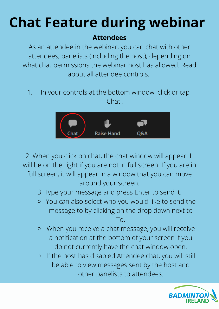## **Chat Feature during webinar**

#### **Attendees**

As an attendee in the webinar, you can chat with other attendees, panelists (including the host), depending on what chat permissions the webinar host has allowed. Read about all attendee controls.

In your controls at the bottom window, click or tap Chat . 1.



2. When you click on chat, the chat window will appear. It will be on the right if you are not in full screen. If you are in full screen, it will appear in a window that you can move around your screen.

- 3. Type your message and press Enter to send it.
- You can also select who you would like to send the message to by clicking on the drop down next to To.
- When you receive a chat message, you will receive  $\circ$ a notification at the bottom of your screen if you do not currently have the chat window open.
- If the host has disabled Attendee chat, you will still  $\bigcirc$ be able to view messages sent by the host and other panelists to attendees.

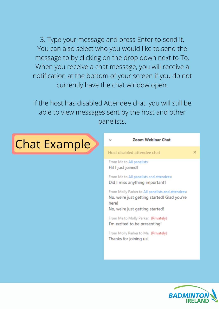3. Type your message and press Enter to send it. You can also select who you would like to send the message to by clicking on the drop down next to To. When you receive a chat message, you will receive a notification at the bottom of your screen if you do not currently have the chat window open.

If the host has disabled Attendee chat, you will still be able to view messages sent by the host and other panelists.



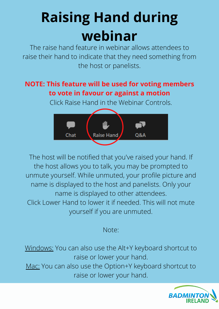### **Raising Hand during webinar**

The raise hand feature in webinar allows attendees to raise their hand to indicate that they need something from the host or panelists.

#### **NOTE: This feature will be used for voting members to vote in favour or against a motion**

Click Raise Hand in the Webinar Controls.



The host will be notified that you've raised your hand. If the host allows you to talk, you may be prompted to unmute yourself. While unmuted, your profile picture and name is displayed to the host and panelists. Only your name is displayed to other attendees. Click Lower Hand to lower it if needed. This will not mute yourself if you are unmuted.

Note:

Windows: You can also use the Alt+Y keyboard shortcut to raise or lower your hand. Mac: You can also use the Option+Y keyboard shortcut to raise or lower your hand.